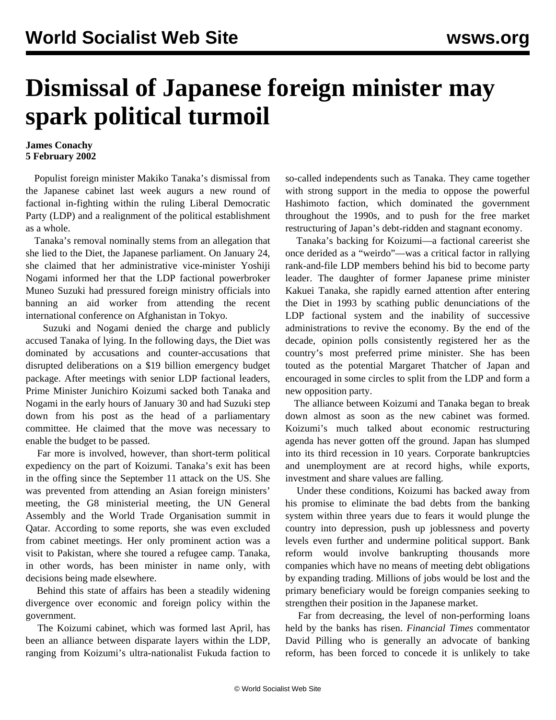## **Dismissal of Japanese foreign minister may spark political turmoil**

## **James Conachy 5 February 2002**

 Populist foreign minister Makiko Tanaka's dismissal from the Japanese cabinet last week augurs a new round of factional in-fighting within the ruling Liberal Democratic Party (LDP) and a realignment of the political establishment as a whole.

 Tanaka's removal nominally stems from an allegation that she lied to the Diet, the Japanese parliament. On January 24, she claimed that her administrative vice-minister Yoshiji Nogami informed her that the LDP factional powerbroker Muneo Suzuki had pressured foreign ministry officials into banning an aid worker from attending the recent international conference on Afghanistan in Tokyo.

 Suzuki and Nogami denied the charge and publicly accused Tanaka of lying. In the following days, the Diet was dominated by accusations and counter-accusations that disrupted deliberations on a \$19 billion emergency budget package. After meetings with senior LDP factional leaders, Prime Minister Junichiro Koizumi sacked both Tanaka and Nogami in the early hours of January 30 and had Suzuki step down from his post as the head of a parliamentary committee. He claimed that the move was necessary to enable the budget to be passed.

 Far more is involved, however, than short-term political expediency on the part of Koizumi. Tanaka's exit has been in the offing since the September 11 attack on the US. She was prevented from attending an Asian foreign ministers' meeting, the G8 ministerial meeting, the UN General Assembly and the World Trade Organisation summit in Qatar. According to some reports, she was even excluded from cabinet meetings. Her only prominent action was a visit to Pakistan, where she toured a refugee camp. Tanaka, in other words, has been minister in name only, with decisions being made elsewhere.

 Behind this state of affairs has been a steadily widening divergence over economic and foreign policy within the government.

 The Koizumi cabinet, which was formed last April, has been an alliance between disparate layers within the LDP, ranging from Koizumi's ultra-nationalist Fukuda faction to so-called independents such as Tanaka. They came together with strong support in the media to oppose the powerful Hashimoto faction, which dominated the government throughout the 1990s, and to push for the free market restructuring of Japan's debt-ridden and stagnant economy.

 Tanaka's backing for Koizumi—a factional careerist she once derided as a "weirdo"—was a critical factor in rallying rank-and-file LDP members behind his bid to become party leader. The daughter of former Japanese prime minister Kakuei Tanaka, she rapidly earned attention after entering the Diet in 1993 by scathing public denunciations of the LDP factional system and the inability of successive administrations to revive the economy. By the end of the decade, opinion polls consistently registered her as the country's most preferred prime minister. She has been touted as the potential Margaret Thatcher of Japan and encouraged in some circles to split from the LDP and form a new opposition party.

 The alliance between Koizumi and Tanaka began to break down almost as soon as the new cabinet was formed. Koizumi's much talked about economic restructuring agenda has never gotten off the ground. Japan has slumped into its third recession in 10 years. Corporate bankruptcies and unemployment are at record highs, while exports, investment and share values are falling.

 Under these conditions, Koizumi has backed away from his promise to eliminate the bad debts from the banking system within three years due to fears it would plunge the country into depression, push up joblessness and poverty levels even further and undermine political support. Bank reform would involve bankrupting thousands more companies which have no means of meeting debt obligations by expanding trading. Millions of jobs would be lost and the primary beneficiary would be foreign companies seeking to strengthen their position in the Japanese market.

 Far from decreasing, the level of non-performing loans held by the banks has risen. *Financial Times* commentator David Pilling who is generally an advocate of banking reform, has been forced to concede it is unlikely to take